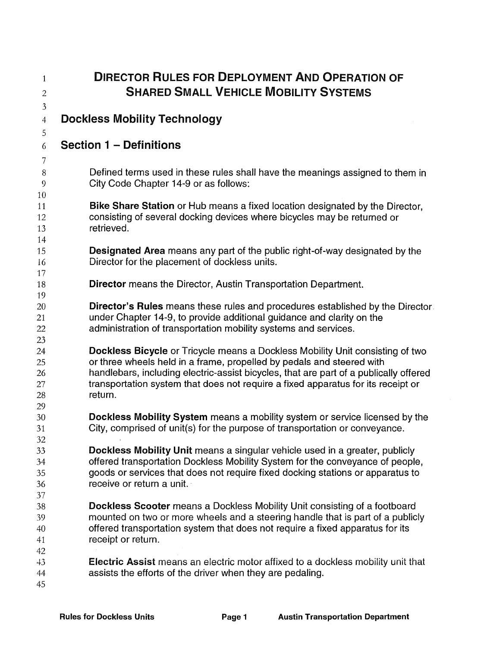| $\mathbf{1}$<br>$\overline{c}$   | <b>DIRECTOR RULES FOR DEPLOYMENT AND OPERATION OF</b><br><b>SHARED SMALL VEHICLE MOBILITY SYSTEMS</b>                                                                                                                                                                                                                                                 |
|----------------------------------|-------------------------------------------------------------------------------------------------------------------------------------------------------------------------------------------------------------------------------------------------------------------------------------------------------------------------------------------------------|
| $\mathfrak{Z}$<br>$\overline{4}$ | <b>Dockless Mobility Technology</b>                                                                                                                                                                                                                                                                                                                   |
| 5<br>6                           | <b>Section 1 – Definitions</b>                                                                                                                                                                                                                                                                                                                        |
| 7<br>8<br>9                      | Defined terms used in these rules shall have the meanings assigned to them in<br>City Code Chapter 14-9 or as follows:                                                                                                                                                                                                                                |
| 10<br>11<br>12<br>13<br>14       | <b>Bike Share Station</b> or Hub means a fixed location designated by the Director,<br>consisting of several docking devices where bicycles may be returned or<br>retrieved.                                                                                                                                                                          |
| 15<br>16                         | <b>Designated Area</b> means any part of the public right-of-way designated by the<br>Director for the placement of dockless units.                                                                                                                                                                                                                   |
| 17<br>18<br>19                   | <b>Director</b> means the Director, Austin Transportation Department.                                                                                                                                                                                                                                                                                 |
| 20<br>21<br>22                   | Director's Rules means these rules and procedures established by the Director.<br>under Chapter 14-9, to provide additional guidance and clarity on the<br>administration of transportation mobility systems and services.                                                                                                                            |
| 23<br>24<br>25<br>26<br>27<br>28 | <b>Dockless Bicycle</b> or Tricycle means a Dockless Mobility Unit consisting of two<br>or three wheels held in a frame, propelled by pedals and steered with<br>handlebars, including electric-assist bicycles, that are part of a publically offered<br>transportation system that does not require a fixed apparatus for its receipt or<br>return. |
| 29<br>30<br>31                   | Dockless Mobility System means a mobility system or service licensed by the<br>City, comprised of unit(s) for the purpose of transportation or conveyance.                                                                                                                                                                                            |
| 32<br>33<br>34<br>35<br>36<br>37 | <b>Dockless Mobility Unit</b> means a singular vehicle used in a greater, publicly<br>offered transportation Dockless Mobility System for the conveyance of people,<br>goods or services that does not require fixed docking stations or apparatus to<br>receive or return a unit.                                                                    |
| 38<br>39<br>40<br>41             | <b>Dockless Scooter</b> means a Dockless Mobility Unit consisting of a footboard<br>mounted on two or more wheels and a steering handle that is part of a publicly<br>offered transportation system that does not require a fixed apparatus for its<br>receipt or return.                                                                             |
| 42<br>43<br>44<br>45             | <b>Electric Assist</b> means an electric motor affixed to a dockless mobility unit that<br>assists the efforts of the driver when they are pedaling.                                                                                                                                                                                                  |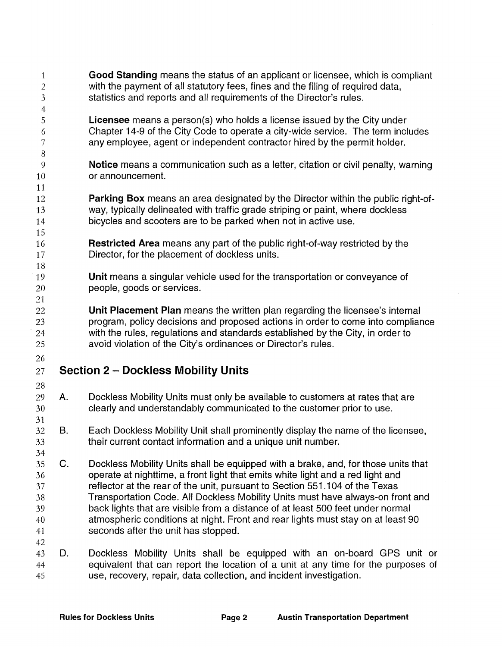| $\mathbf{1}$<br>$\mathbf{2}$<br>$\mathfrak{Z}$<br>$\overline{4}$ |             | Good Standing means the status of an applicant or licensee, which is compliant<br>with the payment of all statutory fees, fines and the filing of required data,<br>statistics and reports and all requirements of the Director's rules.                                                                                                                                                                                                                                                                                                         |
|------------------------------------------------------------------|-------------|--------------------------------------------------------------------------------------------------------------------------------------------------------------------------------------------------------------------------------------------------------------------------------------------------------------------------------------------------------------------------------------------------------------------------------------------------------------------------------------------------------------------------------------------------|
| 5<br>6<br>7                                                      |             | <b>Licensee</b> means a person(s) who holds a license issued by the City under<br>Chapter 14-9 of the City Code to operate a city-wide service. The term includes<br>any employee, agent or independent contractor hired by the permit holder.                                                                                                                                                                                                                                                                                                   |
| 8<br>9<br>10                                                     |             | Notice means a communication such as a letter, citation or civil penalty, warning<br>or announcement.                                                                                                                                                                                                                                                                                                                                                                                                                                            |
| 11<br>12<br>13<br>14                                             |             | Parking Box means an area designated by the Director within the public right-of-<br>way, typically delineated with traffic grade striping or paint, where dockless<br>bicycles and scooters are to be parked when not in active use.                                                                                                                                                                                                                                                                                                             |
| 15<br>16<br>17<br>18                                             |             | <b>Restricted Area</b> means any part of the public right-of-way restricted by the<br>Director, for the placement of dockless units.                                                                                                                                                                                                                                                                                                                                                                                                             |
| 19<br>20<br>21                                                   |             | Unit means a singular vehicle used for the transportation or conveyance of<br>people, goods or services.                                                                                                                                                                                                                                                                                                                                                                                                                                         |
| 22<br>23<br>24<br>25                                             |             | Unit Placement Plan means the written plan regarding the licensee's internal<br>program, policy decisions and proposed actions in order to come into compliance<br>with the rules, regulations and standards established by the City, in order to<br>avoid violation of the City's ordinances or Director's rules.                                                                                                                                                                                                                               |
| 26<br>27                                                         |             | <b>Section 2 - Dockless Mobility Units</b>                                                                                                                                                                                                                                                                                                                                                                                                                                                                                                       |
| 28<br>29<br>30<br>31                                             | Α.          | Dockless Mobility Units must only be available to customers at rates that are<br>clearly and understandably communicated to the customer prior to use.                                                                                                                                                                                                                                                                                                                                                                                           |
| 32<br>33<br>34                                                   | В.          | Each Dockless Mobility Unit shall prominently display the name of the licensee,<br>their current contact information and a unique unit number.                                                                                                                                                                                                                                                                                                                                                                                                   |
| 35<br>36<br>37<br>38<br>39<br>40<br>41<br>42                     | $C_{\cdot}$ | Dockless Mobility Units shall be equipped with a brake, and, for those units that<br>operate at nighttime, a front light that emits white light and a red light and<br>reflector at the rear of the unit, pursuant to Section 551.104 of the Texas<br>Transportation Code. All Dockless Mobility Units must have always-on front and<br>back lights that are visible from a distance of at least 500 feet under normal<br>atmospheric conditions at night. Front and rear lights must stay on at least 90<br>seconds after the unit has stopped. |
| 43<br>44<br>45                                                   | D.          | Dockless Mobility Units shall be equipped with an on-board GPS unit or<br>equivalent that can report the location of a unit at any time for the purposes of<br>use, recovery, repair, data collection, and incident investigation.                                                                                                                                                                                                                                                                                                               |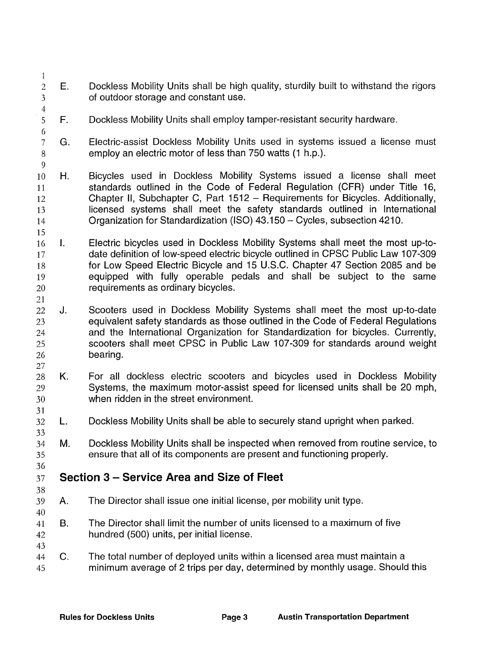- $\mathbf{1}$ 2 E. Dockless Mobility Units shall be high quality, sturdily built to withstand the rigors of outdoor storage and constant use. 3
- $\frac{4}{5}$  $F_{\perp}$ Dockless Mobility Units shall employ tamper-resistant security hardware.
- 7 G. 8 Electric-assist Dockless Mobility Units used in systems issued a license must employ an electric motor of less than 750 watts (1 h.p.).
- 10 H. 11 12 13 14 Bicycles used in Dockless Mobility Systems issued a license shall meet standards outlined in the Code of Federal Regulation (CFR) under Title 16, Chapter II, Subchapter C, Part 1512 - Requirements for Bicycles. Additionally, licensed systems shall meet the safety standards outlined in International Organization for Standardization (ISO) 43.150- Cycles, subsection 4210.
- 16 I. 17 18 19 20 Electric bicycles used in Dockless Mobility Systems shall meet the most up-todate definition of low-speed electric bicycle outlined in CPSC Public Law 107-309 for Low Speed Electric Bicycle and 15 U.S.C. Chapter 47 Section 2085 and be equipped with fully operable pedals and shall be subject to the same requirements as ordinary bicycles.
- 22 J. 23 24 25 26 Scooters used in Dockless Mobility Systems shall meet the most up-to-date equivalent safety standards as those outlined in the Code of Federal Regulations and the International Organization for Standardization for bicycles. Currently, scooters shall meet CPSC in Public Law 107-309 for standards around weight bearing.
- 28 K. 29 30 For all dockless electric scooters and bicycles used in Dockless Mobility Systems, the maximum motor-assist speed for licensed units shall be 20 mph, when ridden in the street environment.
- 32 L. Dockless Mobility Units shall be able to securely stand upright when parked.
- 34 M. 35 Dockless Mobility Units shall be inspected when removed from routine service, to ensure that all of its components are present and functioning properly.
- 37 Section 3 – Service Area and Size of Fleet
- 39 A. The Director shall issue one initial license, per mobility unit type.
- 41 B. 42 The Director shall limit the number of units licensed to a maximum of five hundred (500) units, per initial license.
- 44 C. 45 The total number of deployed units within a licensed area must maintain a minimum average of 2 trips per day, determined by monthly usage. Should this

6

9

15

21

27

31

33

36

38

40

43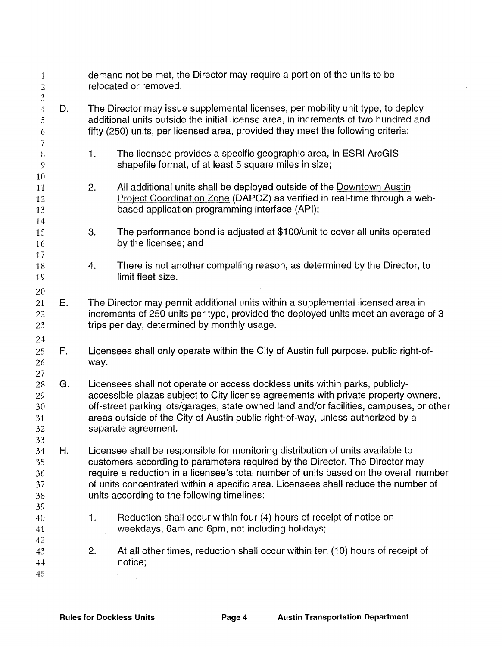| 1<br>$\boldsymbol{2}$<br>$\mathfrak{Z}$    |    | demand not be met, the Director may require a portion of the units to be<br>relocated or removed. |                                                                                                                                                                                                                                                                                                                                                                                               |  |  |  |  |  |
|--------------------------------------------|----|---------------------------------------------------------------------------------------------------|-----------------------------------------------------------------------------------------------------------------------------------------------------------------------------------------------------------------------------------------------------------------------------------------------------------------------------------------------------------------------------------------------|--|--|--|--|--|
| $\overline{4}$<br>5<br>6<br>$\overline{7}$ | D. |                                                                                                   | The Director may issue supplemental licenses, per mobility unit type, to deploy<br>additional units outside the initial license area, in increments of two hundred and<br>fifty (250) units, per licensed area, provided they meet the following criteria:                                                                                                                                    |  |  |  |  |  |
| 8<br>9<br>10                               |    | 1 <sub>1</sub>                                                                                    | The licensee provides a specific geographic area, in ESRI ArcGIS<br>shapefile format, of at least 5 square miles in size;                                                                                                                                                                                                                                                                     |  |  |  |  |  |
| 11<br>12<br>13<br>14                       |    | 2.                                                                                                | All additional units shall be deployed outside of the Downtown Austin<br>Project Coordination Zone (DAPCZ) as verified in real-time through a web-<br>based application programming interface (API);                                                                                                                                                                                          |  |  |  |  |  |
| 15<br>16<br>17                             |    | 3.                                                                                                | The performance bond is adjusted at \$100/unit to cover all units operated<br>by the licensee; and                                                                                                                                                                                                                                                                                            |  |  |  |  |  |
| 18<br>19                                   |    | 4.                                                                                                | There is not another compelling reason, as determined by the Director, to<br>limit fleet size.                                                                                                                                                                                                                                                                                                |  |  |  |  |  |
| 20<br>21<br>22<br>23                       | Ε. |                                                                                                   | The Director may permit additional units within a supplemental licensed area in<br>increments of 250 units per type, provided the deployed units meet an average of 3<br>trips per day, determined by monthly usage.                                                                                                                                                                          |  |  |  |  |  |
| 24<br>25<br>26<br>27                       | F. | way.                                                                                              | Licensees shall only operate within the City of Austin full purpose, public right-of-                                                                                                                                                                                                                                                                                                         |  |  |  |  |  |
| 28<br>29<br>30<br>31<br>32<br>33           | G. |                                                                                                   | Licensees shall not operate or access dockless units within parks, publicly-<br>accessible plazas subject to City license agreements with private property owners,<br>off-street parking lots/garages, state owned land and/or facilities, campuses, or other<br>areas outside of the City of Austin public right-of-way, unless authorized by a<br>separate agreement.                       |  |  |  |  |  |
| 34<br>35<br>36<br>37<br>38                 | Η. |                                                                                                   | Licensee shall be responsible for monitoring distribution of units available to<br>customers according to parameters required by the Director. The Director may<br>require a reduction in a licensee's total number of units based on the overall number<br>of units concentrated within a specific area. Licensees shall reduce the number of<br>units according to the following timelines: |  |  |  |  |  |
| 39<br>40<br>41<br>42                       |    | $\mathbf{1}$ .                                                                                    | Reduction shall occur within four (4) hours of receipt of notice on<br>weekdays, 6am and 6pm, not including holidays;                                                                                                                                                                                                                                                                         |  |  |  |  |  |
| 43<br>$+4$<br>45                           |    | At all other times, reduction shall occur within ten (10) hours of receipt of<br>2.<br>notice;    |                                                                                                                                                                                                                                                                                                                                                                                               |  |  |  |  |  |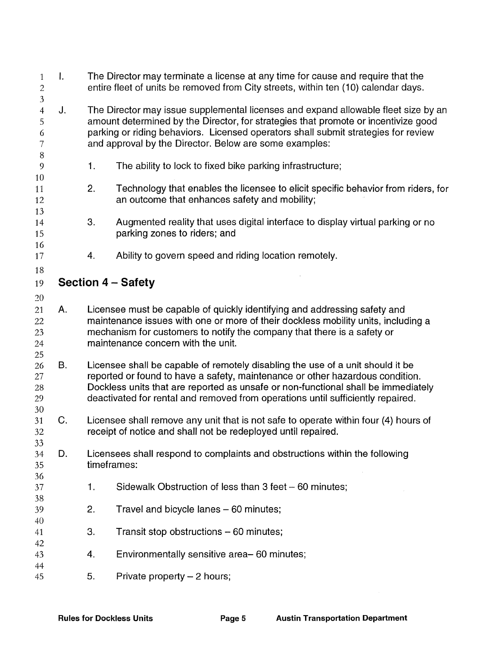| 1<br>$\sqrt{2}$<br>$\overline{3}$      | $\mathbf{I}$ . |                           | The Director may terminate a license at any time for cause and require that the<br>entire fleet of units be removed from City streets, within ten (10) calendar days.                                                                                                                                                                   |  |  |  |  |  |  |
|----------------------------------------|----------------|---------------------------|-----------------------------------------------------------------------------------------------------------------------------------------------------------------------------------------------------------------------------------------------------------------------------------------------------------------------------------------|--|--|--|--|--|--|
| $\overline{4}$<br>5<br>6<br>7<br>$8\,$ | J.             |                           | The Director may issue supplemental licenses and expand allowable fleet size by an<br>amount determined by the Director, for strategies that promote or incentivize good<br>parking or riding behaviors. Licensed operators shall submit strategies for review<br>and approval by the Director. Below are some examples:                |  |  |  |  |  |  |
| 9<br>10                                |                | 1.                        | The ability to lock to fixed bike parking infrastructure;                                                                                                                                                                                                                                                                               |  |  |  |  |  |  |
| 11<br>12<br>13                         |                | 2.                        | Technology that enables the licensee to elicit specific behavior from riders, for<br>an outcome that enhances safety and mobility;                                                                                                                                                                                                      |  |  |  |  |  |  |
| 14<br>15<br>16                         |                | 3.                        | Augmented reality that uses digital interface to display virtual parking or no<br>parking zones to riders; and                                                                                                                                                                                                                          |  |  |  |  |  |  |
| 17<br>18                               |                | 4.                        | Ability to govern speed and riding location remotely.                                                                                                                                                                                                                                                                                   |  |  |  |  |  |  |
| 19                                     |                | <b>Section 4 – Safety</b> |                                                                                                                                                                                                                                                                                                                                         |  |  |  |  |  |  |
| 20<br>21<br>22<br>23<br>24<br>25       | Α.             |                           | Licensee must be capable of quickly identifying and addressing safety and<br>maintenance issues with one or more of their dockless mobility units, including a<br>mechanism for customers to notify the company that there is a safety or<br>maintenance concern with the unit.                                                         |  |  |  |  |  |  |
| 26<br>27<br>28<br>29<br>30             | <b>B.</b>      |                           | Licensee shall be capable of remotely disabling the use of a unit should it be<br>reported or found to have a safety, maintenance or other hazardous condition.<br>Dockless units that are reported as unsafe or non-functional shall be immediately<br>deactivated for rental and removed from operations until sufficiently repaired. |  |  |  |  |  |  |
| 31<br>32                               | C.             |                           | Licensee shall remove any unit that is not safe to operate within four (4) hours of<br>receipt of notice and shall not be redeployed until repaired.                                                                                                                                                                                    |  |  |  |  |  |  |
| 33<br>34<br>35<br>36                   | D.             |                           | Licensees shall respond to complaints and obstructions within the following<br>timeframes:                                                                                                                                                                                                                                              |  |  |  |  |  |  |
| 37<br>38                               |                | 1.                        | Sidewalk Obstruction of less than 3 feet - 60 minutes;                                                                                                                                                                                                                                                                                  |  |  |  |  |  |  |
| 39<br>40                               |                | 2.                        | Travel and bicycle lanes - 60 minutes;                                                                                                                                                                                                                                                                                                  |  |  |  |  |  |  |
| 41<br>42                               |                | 3.                        | Transit stop obstructions - 60 minutes;                                                                                                                                                                                                                                                                                                 |  |  |  |  |  |  |
| 43<br>44                               |                | 4.                        | Environmentally sensitive area-60 minutes;                                                                                                                                                                                                                                                                                              |  |  |  |  |  |  |
| 45                                     |                | 5.                        | Private property - 2 hours;                                                                                                                                                                                                                                                                                                             |  |  |  |  |  |  |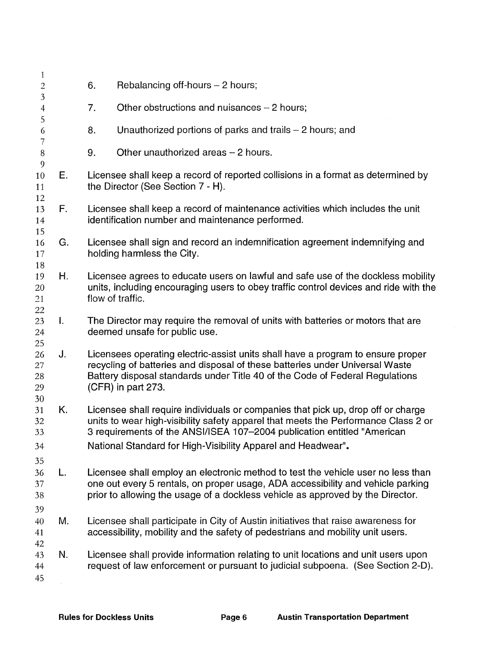| $\mathbf{1}$<br>$\overline{c}$ |    | 6.                                                                                                                                                                   | Rebalancing off-hours - 2 hours;                                                                                                                                                                                                                                      |  |  |  |  |  |  |
|--------------------------------|----|----------------------------------------------------------------------------------------------------------------------------------------------------------------------|-----------------------------------------------------------------------------------------------------------------------------------------------------------------------------------------------------------------------------------------------------------------------|--|--|--|--|--|--|
| 3                              |    | 7.                                                                                                                                                                   | Other obstructions and nuisances $-2$ hours;                                                                                                                                                                                                                          |  |  |  |  |  |  |
| $\overline{4}$<br>5            |    |                                                                                                                                                                      |                                                                                                                                                                                                                                                                       |  |  |  |  |  |  |
| 6<br>7                         |    | 8.                                                                                                                                                                   | Unauthorized portions of parks and trails - 2 hours; and                                                                                                                                                                                                              |  |  |  |  |  |  |
| $\,8\,$<br>9                   |    | 9.                                                                                                                                                                   | Other unauthorized areas - 2 hours.                                                                                                                                                                                                                                   |  |  |  |  |  |  |
| 10<br>11<br>12                 | Е. |                                                                                                                                                                      | Licensee shall keep a record of reported collisions in a format as determined by<br>the Director (See Section 7 - H).                                                                                                                                                 |  |  |  |  |  |  |
| 13<br>14                       | F. |                                                                                                                                                                      | Licensee shall keep a record of maintenance activities which includes the unit<br>identification number and maintenance performed.                                                                                                                                    |  |  |  |  |  |  |
| 15<br>16<br>17                 | G. |                                                                                                                                                                      | Licensee shall sign and record an indemnification agreement indemnifying and<br>holding harmless the City.                                                                                                                                                            |  |  |  |  |  |  |
| 18<br>19<br>20<br>21<br>22     | Η. |                                                                                                                                                                      | Licensee agrees to educate users on lawful and safe use of the dockless mobility<br>units, including encouraging users to obey traffic control devices and ride with the<br>flow of traffic.                                                                          |  |  |  |  |  |  |
| 23<br>24<br>25                 | Τ. |                                                                                                                                                                      | The Director may require the removal of units with batteries or motors that are<br>deemed unsafe for public use.                                                                                                                                                      |  |  |  |  |  |  |
| 26<br>27<br>28<br>29<br>30     | J. |                                                                                                                                                                      | Licensees operating electric-assist units shall have a program to ensure proper<br>recycling of batteries and disposal of these batteries under Universal Waste<br>Battery disposal standards under Title 40 of the Code of Federal Regulations<br>(CFR) in part 273. |  |  |  |  |  |  |
| 31<br>32<br>33                 | Κ. |                                                                                                                                                                      | Licensee shall require individuals or companies that pick up, drop off or charge<br>units to wear high-visibility safety apparel that meets the Performance Class 2 or<br>3 requirements of the ANSI/ISEA 107-2004 publication entitled "American                     |  |  |  |  |  |  |
| 34<br>35                       |    |                                                                                                                                                                      | National Standard for High-Visibility Apparel and Headwear".                                                                                                                                                                                                          |  |  |  |  |  |  |
| 36<br>37<br>38<br>39           | L. |                                                                                                                                                                      | Licensee shall employ an electronic method to test the vehicle user no less than<br>one out every 5 rentals, on proper usage, ADA accessibility and vehicle parking<br>prior to allowing the usage of a dockless vehicle as approved by the Director.                 |  |  |  |  |  |  |
| 40<br>41<br>42                 | Μ. |                                                                                                                                                                      | Licensee shall participate in City of Austin initiatives that raise awareness for<br>accessibility, mobility and the safety of pedestrians and mobility unit users.                                                                                                   |  |  |  |  |  |  |
| 43<br>44<br>45                 | N. | Licensee shall provide information relating to unit locations and unit users upon<br>request of law enforcement or pursuant to judicial subpoena. (See Section 2-D). |                                                                                                                                                                                                                                                                       |  |  |  |  |  |  |
|                                |    |                                                                                                                                                                      |                                                                                                                                                                                                                                                                       |  |  |  |  |  |  |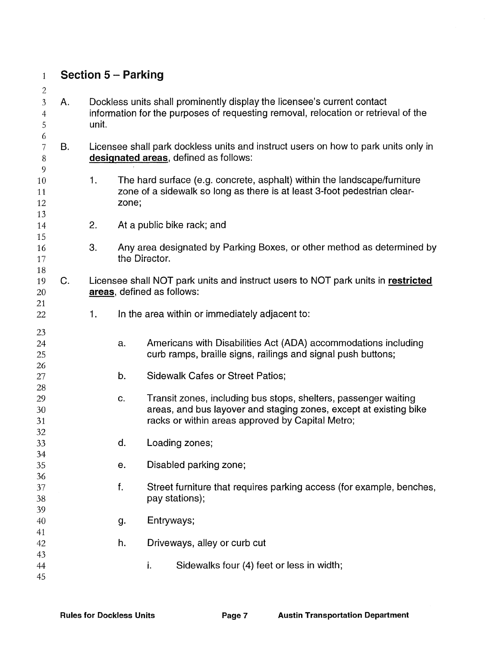|                |                                                                                                                             | <b>Section 5 - Parking</b>                                                                                                                                    |                                                                                                                                                                                          |  |  |  |  |
|----------------|-----------------------------------------------------------------------------------------------------------------------------|---------------------------------------------------------------------------------------------------------------------------------------------------------------|------------------------------------------------------------------------------------------------------------------------------------------------------------------------------------------|--|--|--|--|
| Α.             | unit.                                                                                                                       | Dockless units shall prominently display the licensee's current contact<br>information for the purposes of requesting removal, relocation or retrieval of the |                                                                                                                                                                                          |  |  |  |  |
| Β.             | Licensee shall park dockless units and instruct users on how to park units only in<br>designated areas, defined as follows: |                                                                                                                                                               |                                                                                                                                                                                          |  |  |  |  |
|                | 1.                                                                                                                          | zone;                                                                                                                                                         | The hard surface (e.g. concrete, asphalt) within the landscape/furniture<br>zone of a sidewalk so long as there is at least 3-foot pedestrian clear-                                     |  |  |  |  |
|                | 2.                                                                                                                          |                                                                                                                                                               | At a public bike rack; and                                                                                                                                                               |  |  |  |  |
|                | 3.                                                                                                                          |                                                                                                                                                               | Any area designated by Parking Boxes, or other method as determined by<br>the Director.                                                                                                  |  |  |  |  |
| C <sub>r</sub> |                                                                                                                             |                                                                                                                                                               | Licensee shall NOT park units and instruct users to NOT park units in restricted<br>areas, defined as follows:                                                                           |  |  |  |  |
|                | 1.                                                                                                                          |                                                                                                                                                               | In the area within or immediately adjacent to:                                                                                                                                           |  |  |  |  |
|                |                                                                                                                             | a.                                                                                                                                                            | Americans with Disabilities Act (ADA) accommodations including<br>curb ramps, braille signs, railings and signal push buttons;                                                           |  |  |  |  |
|                |                                                                                                                             | b.                                                                                                                                                            | <b>Sidewalk Cafes or Street Patios;</b>                                                                                                                                                  |  |  |  |  |
|                |                                                                                                                             | C.                                                                                                                                                            | Transit zones, including bus stops, shelters, passenger waiting<br>areas, and bus layover and staging zones, except at existing bike<br>racks or within areas approved by Capital Metro; |  |  |  |  |
|                |                                                                                                                             | d.                                                                                                                                                            | Loading zones;                                                                                                                                                                           |  |  |  |  |
|                |                                                                                                                             | е.                                                                                                                                                            | Disabled parking zone;                                                                                                                                                                   |  |  |  |  |
|                |                                                                                                                             | f.                                                                                                                                                            | Street furniture that requires parking access (for example, benches,<br>pay stations);                                                                                                   |  |  |  |  |
|                |                                                                                                                             | g.                                                                                                                                                            | Entryways;                                                                                                                                                                               |  |  |  |  |
|                |                                                                                                                             | h.                                                                                                                                                            | Driveways, alley or curb cut                                                                                                                                                             |  |  |  |  |
|                |                                                                                                                             |                                                                                                                                                               | i.<br>Sidewalks four (4) feet or less in width;                                                                                                                                          |  |  |  |  |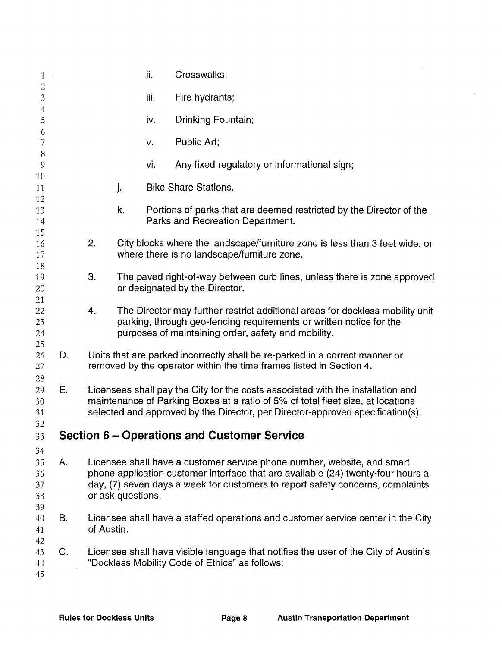| $\mathbf{1}$                     |    |            |                                                                                                                                                                                                                                                      | ii.  | Crosswalks;                                                                                                                                                                                                                                   |  |
|----------------------------------|----|------------|------------------------------------------------------------------------------------------------------------------------------------------------------------------------------------------------------------------------------------------------------|------|-----------------------------------------------------------------------------------------------------------------------------------------------------------------------------------------------------------------------------------------------|--|
| $\sqrt{2}$<br>3                  |    |            |                                                                                                                                                                                                                                                      | iii. | Fire hydrants;                                                                                                                                                                                                                                |  |
| $\overline{4}$<br>5              |    |            |                                                                                                                                                                                                                                                      | iv.  | Drinking Fountain;                                                                                                                                                                                                                            |  |
| 6<br>7                           |    |            |                                                                                                                                                                                                                                                      | v.   | Public Art;                                                                                                                                                                                                                                   |  |
| $\, 8$<br>$\overline{9}$         |    |            |                                                                                                                                                                                                                                                      | vi.  | Any fixed regulatory or informational sign;                                                                                                                                                                                                   |  |
| 10<br>11                         |    |            | j.                                                                                                                                                                                                                                                   |      | <b>Bike Share Stations.</b>                                                                                                                                                                                                                   |  |
| 12<br>13<br>14                   |    |            | k.                                                                                                                                                                                                                                                   |      | Portions of parks that are deemed restricted by the Director of the<br>Parks and Recreation Department.                                                                                                                                       |  |
| 15<br>16<br>17                   |    | 2.         |                                                                                                                                                                                                                                                      |      | City blocks where the landscape/furniture zone is less than 3 feet wide, or<br>where there is no landscape/furniture zone.                                                                                                                    |  |
| 18<br>19<br>20                   |    | 3.         |                                                                                                                                                                                                                                                      |      | The paved right-of-way between curb lines, unless there is zone approved<br>or designated by the Director.                                                                                                                                    |  |
| 21<br>22<br>23<br>24             |    | 4.         |                                                                                                                                                                                                                                                      |      | The Director may further restrict additional areas for dockless mobility unit<br>parking, through geo-fencing requirements or written notice for the<br>purposes of maintaining order, safety and mobility.                                   |  |
| 25<br>26<br>27                   | D. |            |                                                                                                                                                                                                                                                      |      | Units that are parked incorrectly shall be re-parked in a correct manner or<br>removed by the operator within the time frames listed in Section 4.                                                                                            |  |
| 28<br>29<br>30<br>31<br>32       | Е. |            | Licensees shall pay the City for the costs associated with the installation and<br>maintenance of Parking Boxes at a ratio of 5% of total fleet size, at locations<br>selected and approved by the Director, per Director-approved specification(s). |      |                                                                                                                                                                                                                                               |  |
| 33                               |    |            |                                                                                                                                                                                                                                                      |      | Section 6 – Operations and Customer Service                                                                                                                                                                                                   |  |
| 34<br>35<br>36<br>37<br>38<br>39 | А. |            | or ask questions.                                                                                                                                                                                                                                    |      | Licensee shall have a customer service phone number, website, and smart<br>phone application customer interface that are available (24) twenty-four hours a<br>day, (7) seven days a week for customers to report safety concerns, complaints |  |
| 40<br>41<br>42                   | В. | of Austin. |                                                                                                                                                                                                                                                      |      | Licensee shall have a staffed operations and customer service center in the City                                                                                                                                                              |  |
| 43<br>$+4$<br>45                 | C. |            |                                                                                                                                                                                                                                                      |      | Licensee shall have visible language that notifies the user of the City of Austin's<br>"Dockless Mobility Code of Ethics" as follows:                                                                                                         |  |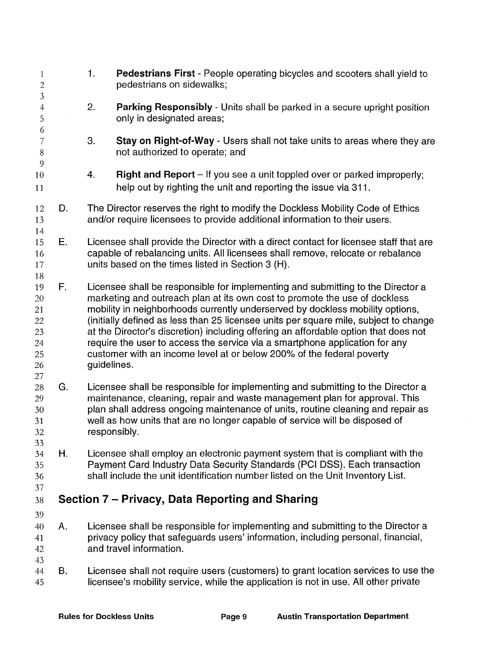1. Pedestrians First - People operating bicycles and scooters shall yield to  $\mathbf{1}$ 2 pedestrians on sidewalks; 3 4 2. **Parking Responsibly** - Units shall be parked in a secure upright position only in designated areas; 5 6 Stay on Right-of-Way - Users shall not take units to areas where they are 7 3. not authorized to operate; and 8 9 4. Right and Report – If you see a unit toppled over or parked improperly; 10 help out by righting the unit and reporting the issue via 311. 11 The Director reserves the right to modify the Dockless Mobility Code of Ethics 12 D. and/or require licensees to provide additional information to their users. 13 14 Licensee shall provide the Director with a direct contact for licensee staff that are 15 E. capable of rebalancing units. All licensees shall remove, relocate or rebalance 16 units based on the times listed in Section 3 (H). 17 18 19 F. Licensee shall be responsible for implementing and submitting to the Director a *20*  marketing and outreach plan at its own cost to promote the use of dockless mobility in neighborhoods currently underserved by dockless mobility options, 21 (initially defined as less than 25 licensee units per square mile, subject to change 22 at the Director's discretion) including offering an affordable option that does not 23 require the user to access the service via a smartphone application for any 24 customer with an income level at or below 200% of the federal poverty 25 guidelines. 26 27 28 G. Licensee shall be responsible for implementing and submitting to the Director a maintenance, cleaning, repair and waste management plan for approval. This 29 plan shall address ongoing maintenance of units, routine cleaning and repair as 30 well as how units that are no longer capable of service will be disposed of 31 responsibly. 32 33 Licensee shall employ an electronic payment system that is compliant with the 34 H. Payment Card Industry Data Security Standards (PCI DSS). Each transaction 35 shall include the unit identification number listed on the Unit Inventory List. 36 37  $38$  Section 7 – Privacy, Data Reporting and Sharing 39 Licensee shall be responsible for implementing and submitting to the Director a 40 A. privacy policy that safeguards users' information, including personal, financial, 41 and travel information. 42 43 44 B. Licensee shall not require users (customers) to grant location services to use the 45 licensee's mobility service, while the application is not in use. All other private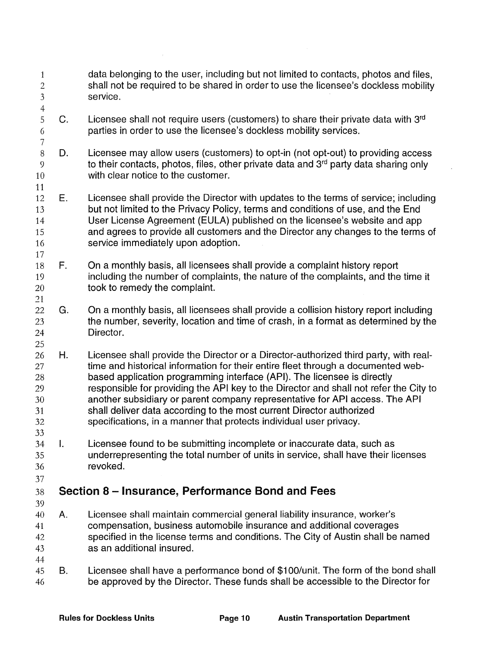| $\mathbf{1}$<br>$\overline{2}$<br>$\mathfrak{Z}$<br>$\overline{4}$ |                | data belonging to the user, including but not limited to contacts, photos and files,<br>shall not be required to be shared in order to use the licensee's dockless mobility<br>service.                                                                                                                                                                                                                                                                                                                                                                                   |
|--------------------------------------------------------------------|----------------|---------------------------------------------------------------------------------------------------------------------------------------------------------------------------------------------------------------------------------------------------------------------------------------------------------------------------------------------------------------------------------------------------------------------------------------------------------------------------------------------------------------------------------------------------------------------------|
| 5<br>6<br>$\overline{7}$                                           | C.             | Licensee shall not require users (customers) to share their private data with 3rd<br>parties in order to use the licensee's dockless mobility services.                                                                                                                                                                                                                                                                                                                                                                                                                   |
| $8\,$<br>9<br>10<br>11                                             | D.             | Licensee may allow users (customers) to opt-in (not opt-out) to providing access<br>to their contacts, photos, files, other private data and 3 <sup>rd</sup> party data sharing only<br>with clear notice to the customer.                                                                                                                                                                                                                                                                                                                                                |
| 12<br>13<br>14<br>15<br>16<br>17                                   | E.             | Licensee shall provide the Director with updates to the terms of service; including<br>but not limited to the Privacy Policy, terms and conditions of use, and the End<br>User License Agreement (EULA) published on the licensee's website and app<br>and agrees to provide all customers and the Director any changes to the terms of<br>service immediately upon adoption.                                                                                                                                                                                             |
| 18<br>19<br>20<br>21                                               | F.             | On a monthly basis, all licensees shall provide a complaint history report<br>including the number of complaints, the nature of the complaints, and the time it<br>took to remedy the complaint.                                                                                                                                                                                                                                                                                                                                                                          |
| 22<br>23<br>24<br>25                                               | G.             | On a monthly basis, all licensees shall provide a collision history report including<br>the number, severity, location and time of crash, in a format as determined by the<br>Director.                                                                                                                                                                                                                                                                                                                                                                                   |
| 26<br>27<br>28<br>29<br>30<br>31<br>32<br>33                       | Η.             | Licensee shall provide the Director or a Director-authorized third party, with real-<br>time and historical information for their entire fleet through a documented web-<br>based application programming interface (API). The licensee is directly<br>responsible for providing the API key to the Director and shall not refer the City to<br>another subsidiary or parent company representative for API access. The API<br>shall deliver data according to the most current Director authorized<br>specifications, in a manner that protects individual user privacy. |
| 34<br>35<br>36<br>37                                               | $\mathbf{I}$ . | Licensee found to be submitting incomplete or inaccurate data, such as<br>underrepresenting the total number of units in service, shall have their licenses<br>revoked.                                                                                                                                                                                                                                                                                                                                                                                                   |
| 38<br>39                                                           |                | Section 8 – Insurance, Performance Bond and Fees                                                                                                                                                                                                                                                                                                                                                                                                                                                                                                                          |
| 40<br>41<br>42<br>43<br>44                                         | Α.             | Licensee shall maintain commercial general liability insurance, worker's<br>compensation, business automobile insurance and additional coverages<br>specified in the license terms and conditions. The City of Austin shall be named<br>as an additional insured.                                                                                                                                                                                                                                                                                                         |
| 45<br>46                                                           | В.             | Licensee shall have a performance bond of \$100/unit. The form of the bond shall<br>be approved by the Director. These funds shall be accessible to the Director for                                                                                                                                                                                                                                                                                                                                                                                                      |

 $\bar{\tau}$ 

 $\mathbf{r}$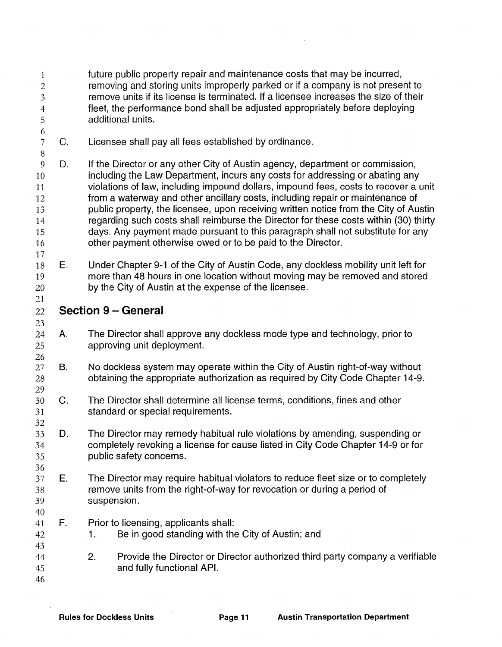| 1<br>$\overline{2}$<br>3<br>$\overline{4}$<br>5<br>6 |             |                                                                                                                                                                             | future public property repair and maintenance costs that may be incurred,<br>removing and storing units improperly parked or if a company is not present to<br>remove units if its license is terminated. If a licensee increases the size of their<br>fleet, the performance bond shall be adjusted appropriately before deploying<br>additional units.                                                                                                                                                                                                                                                                                                               |  |  |  |  |  |  |  |
|------------------------------------------------------|-------------|-----------------------------------------------------------------------------------------------------------------------------------------------------------------------------|------------------------------------------------------------------------------------------------------------------------------------------------------------------------------------------------------------------------------------------------------------------------------------------------------------------------------------------------------------------------------------------------------------------------------------------------------------------------------------------------------------------------------------------------------------------------------------------------------------------------------------------------------------------------|--|--|--|--|--|--|--|
| 7<br>$\, 8$                                          | C.          |                                                                                                                                                                             | Licensee shall pay all fees established by ordinance.                                                                                                                                                                                                                                                                                                                                                                                                                                                                                                                                                                                                                  |  |  |  |  |  |  |  |
| 9<br>10<br>11<br>12<br>13<br>14<br>15<br>16          | D.          |                                                                                                                                                                             | If the Director or any other City of Austin agency, department or commission,<br>including the Law Department, incurs any costs for addressing or abating any<br>violations of law, including impound dollars, impound fees, costs to recover a unit<br>from a waterway and other ancillary costs, including repair or maintenance of<br>public property, the licensee, upon receiving written notice from the City of Austin<br>regarding such costs shall reimburse the Director for these costs within (30) thirty<br>days. Any payment made pursuant to this paragraph shall not substitute for any<br>other payment otherwise owed or to be paid to the Director. |  |  |  |  |  |  |  |
| 17<br>18<br>19<br>20                                 | Е.          |                                                                                                                                                                             | Under Chapter 9-1 of the City of Austin Code, any dockless mobility unit left for<br>more than 48 hours in one location without moving may be removed and stored<br>by the City of Austin at the expense of the licensee.                                                                                                                                                                                                                                                                                                                                                                                                                                              |  |  |  |  |  |  |  |
| 21<br>22                                             |             |                                                                                                                                                                             | <b>Section 9 - General</b>                                                                                                                                                                                                                                                                                                                                                                                                                                                                                                                                                                                                                                             |  |  |  |  |  |  |  |
| 23<br>24<br>25                                       | Α.          |                                                                                                                                                                             | The Director shall approve any dockless mode type and technology, prior to<br>approving unit deployment.                                                                                                                                                                                                                                                                                                                                                                                                                                                                                                                                                               |  |  |  |  |  |  |  |
| 26<br>27<br>28                                       | <b>B.</b>   |                                                                                                                                                                             | No dockless system may operate within the City of Austin right-of-way without<br>obtaining the appropriate authorization as required by City Code Chapter 14-9.                                                                                                                                                                                                                                                                                                                                                                                                                                                                                                        |  |  |  |  |  |  |  |
| 29<br>30<br>31                                       | $C_{\cdot}$ |                                                                                                                                                                             | The Director shall determine all license terms, conditions, fines and other<br>standard or special requirements.                                                                                                                                                                                                                                                                                                                                                                                                                                                                                                                                                       |  |  |  |  |  |  |  |
| 32<br>33<br>34<br>35                                 | D.          |                                                                                                                                                                             | The Director may remedy habitual rule violations by amending, suspending or<br>completely revoking a license for cause listed in City Code Chapter 14-9 or for<br>public safety concerns.                                                                                                                                                                                                                                                                                                                                                                                                                                                                              |  |  |  |  |  |  |  |
| 36<br>37<br>38<br>39                                 | Е.          | The Director may require habitual violators to reduce fleet size or to completely<br>remove units from the right-of-way for revocation or during a period of<br>suspension. |                                                                                                                                                                                                                                                                                                                                                                                                                                                                                                                                                                                                                                                                        |  |  |  |  |  |  |  |
| 40<br>41<br>42                                       | F.          | 1.                                                                                                                                                                          | Prior to licensing, applicants shall:<br>Be in good standing with the City of Austin; and                                                                                                                                                                                                                                                                                                                                                                                                                                                                                                                                                                              |  |  |  |  |  |  |  |
| 43<br>44<br>45<br>46                                 |             | 2.                                                                                                                                                                          | Provide the Director or Director authorized third party company a verifiable<br>and fully functional API.                                                                                                                                                                                                                                                                                                                                                                                                                                                                                                                                                              |  |  |  |  |  |  |  |

J.